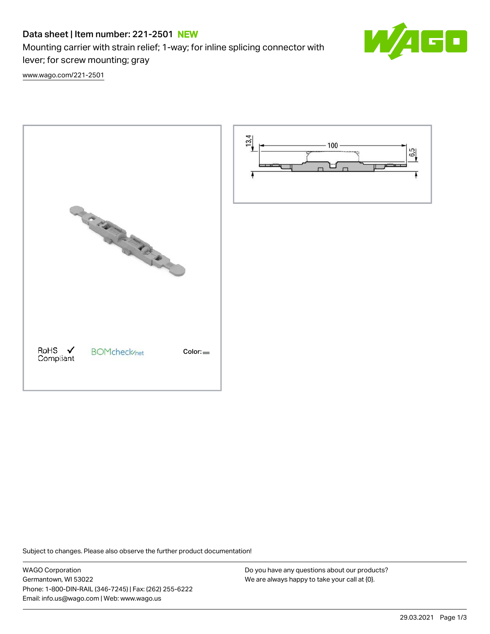# Data sheet | Item number: 221-2501 NEW

Mounting carrier with strain relief; 1-way; for inline splicing connector with lever; for screw mounting; gray



[www.wago.com/221-2501](http://www.wago.com/221-2501)





Subject to changes. Please also observe the further product documentation!

WAGO Corporation Germantown, WI 53022 Phone: 1-800-DIN-RAIL (346-7245) | Fax: (262) 255-6222 Email: info.us@wago.com | Web: www.wago.us

Do you have any questions about our products? We are always happy to take your call at {0}.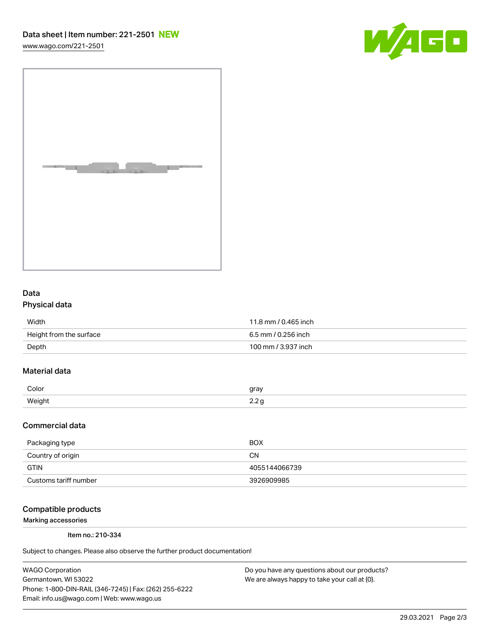[www.wago.com/221-2501](http://www.wago.com/221-2501)





## Data Physical data

| Width                   | 11.8 mm / 0.465 inch |
|-------------------------|----------------------|
| Height from the surface | 6.5 mm / 0.256 inch  |
| Depth                   | 100 mm / 3.937 inch  |

## Material data

| Color               | arov |
|---------------------|------|
| Moint<br>. <u>.</u> | ے ۔  |

#### Commercial data

| Packaging type        | <b>BOX</b>    |
|-----------------------|---------------|
| Country of origin     | CΝ            |
| <b>GTIN</b>           | 4055144066739 |
| Customs tariff number | 3926909985    |

#### Compatible products

Marking accessories

Item no.: 210-334

Subject to changes. Please also observe the further product documentation!

WAGO Corporation Germantown, WI 53022 Phone: 1-800-DIN-RAIL (346-7245) | Fax: (262) 255-6222 Email: info.us@wago.com | Web: www.wago.us

Do you have any questions about our products? We are always happy to take your call at {0}.